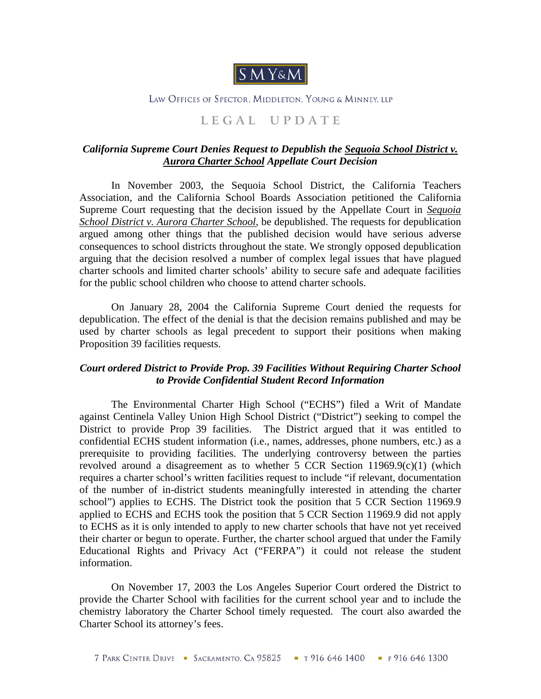

## LAW OFFICES OF SPECTOR. MIDDLETON. YOUNG & MINNEY, LLP

## **L E G A L U P D A T E**

## *California Supreme Court Denies Request to Depublish the Sequoia School District v. Aurora Charter School Appellate Court Decision*

 In November 2003, the Sequoia School District, the California Teachers Association, and the California School Boards Association petitioned the California Supreme Court requesting that the decision issued by the Appellate Court in *Sequoia School District v. Aurora Charter School*, be depublished. The requests for depublication argued among other things that the published decision would have serious adverse consequences to school districts throughout the state. We strongly opposed depublication arguing that the decision resolved a number of complex legal issues that have plagued charter schools and limited charter schools' ability to secure safe and adequate facilities for the public school children who choose to attend charter schools.

On January 28, 2004 the California Supreme Court denied the requests for depublication. The effect of the denial is that the decision remains published and may be used by charter schools as legal precedent to support their positions when making Proposition 39 facilities requests.

## *Court ordered District to Provide Prop. 39 Facilities Without Requiring Charter School to Provide Confidential Student Record Information*

 The Environmental Charter High School ("ECHS") filed a Writ of Mandate against Centinela Valley Union High School District ("District") seeking to compel the District to provide Prop 39 facilities. The District argued that it was entitled to confidential ECHS student information (i.e., names, addresses, phone numbers, etc.) as a prerequisite to providing facilities. The underlying controversy between the parties revolved around a disagreement as to whether  $5$  CCR Section 11969.9(c)(1) (which requires a charter school's written facilities request to include "if relevant, documentation of the number of in-district students meaningfully interested in attending the charter school") applies to ECHS. The District took the position that 5 CCR Section 11969.9 applied to ECHS and ECHS took the position that 5 CCR Section 11969.9 did not apply to ECHS as it is only intended to apply to new charter schools that have not yet received their charter or begun to operate. Further, the charter school argued that under the Family Educational Rights and Privacy Act ("FERPA") it could not release the student information.

 On November 17, 2003 the Los Angeles Superior Court ordered the District to provide the Charter School with facilities for the current school year and to include the chemistry laboratory the Charter School timely requested. The court also awarded the Charter School its attorney's fees.